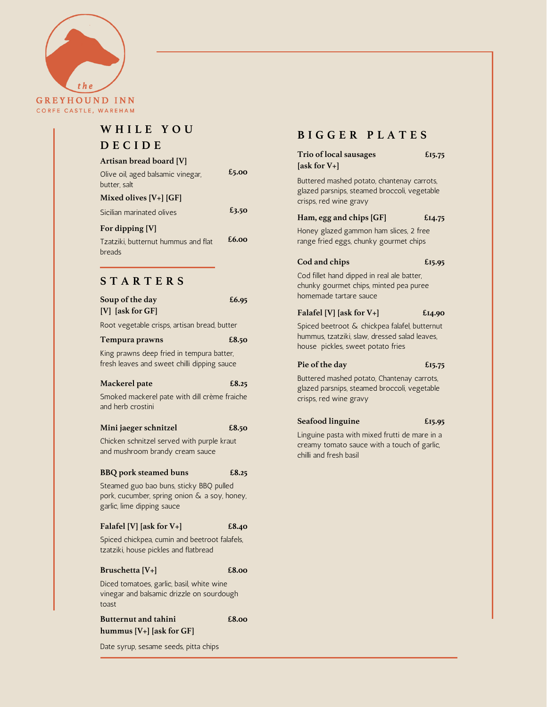

# **W H I L E Y O U**

# **D E C I D E**

# **Artisan bread board [V]**

| Olive oil, aged balsamic vinegar,<br>butter, salt | £5.00 |
|---------------------------------------------------|-------|
| Mixed olives $[V+]$ [GF]                          |       |
| Sicilian marinated olives                         | £3.50 |
| For dipping [V]                                   |       |

Tzatziki, butternut hummus and flat breads **£6.00**

# **S T A R T E R S**

| Soup of the day<br>[V] [ask for GF]                                                                                   | £6.95 |
|-----------------------------------------------------------------------------------------------------------------------|-------|
| Root vegetable crisps, artisan bread, butter                                                                          |       |
| Tempura prawns                                                                                                        | £8.50 |
| King prawns deep fried in tempura batter,<br>fresh leaves and sweet chilli dipping sauce                              |       |
| Mackerel pate                                                                                                         | £8.25 |
| Smoked mackerel pate with dill crème fraiche<br>and herb crostini                                                     |       |
| Mini jaeger schnitzel                                                                                                 | £8.50 |
| Chicken schnitzel served with purple kraut<br>and mushroom brandy cream sauce                                         |       |
| <b>BBQ</b> pork steamed buns                                                                                          | £8.25 |
| Steamed guo bao buns, sticky BBQ pulled<br>pork, cucumber, spring onion & a soy, honey,<br>garlic, lime dipping sauce |       |
| Falafel [V] [ask for $V+$ ]                                                                                           | £8.40 |
| Spiced chickpea, cumin and beetroot falafels,<br>tzatziki, house pickles and flatbread                                |       |
| Bruschetta [V+]                                                                                                       | £8.00 |
| Diced tomatoes, garlic, basil, white wine<br>vinegar and balsamic drizzle on sourdough<br>toast                       |       |
| <b>Butternut and tahini</b>                                                                                           | £8.00 |
| hummus [V+] [ask for GF]                                                                                              |       |

Date syrup, sesame seeds, pitta chips

# **B I G G E R P L A T E S**

| Trio of local sausages |  |
|------------------------|--|
| [ask for $V+$ ]        |  |

**£15.75**

Buttered mashed potato, chantenay carrots, glazed parsnips, steamed broccoli, vegetable crisps, red wine gravy

**Ham, egg and chips [GF] £14.75**

Honey glazed gammon ham slices, 2 free range fried eggs, chunky gourmet chips

# **Cod and chips**

**£15.95**

Cod fillet hand dipped in real ale batter, chunky gourmet chips, minted pea puree homemade tartare sauce

## **[V] [ask for GF] Falafel [V] [ask for V+]**

Spiced beetroot & chickpea falafel, butternut hummus, tzatziki, slaw, dressed salad leaves, house pickles, sweet potato fries

# **Pie of the day**

**£15.75**

**£15.95**

**£14.90**

Buttered mashed potato, Chantenay carrots, glazed parsnips, steamed broccoli, vegetable crisps, red wine gravy

### **Seafood linguine**

Linguine pasta with mixed frutti de mare in a creamy tomato sauce with a touch of garlic, chilli and fresh basil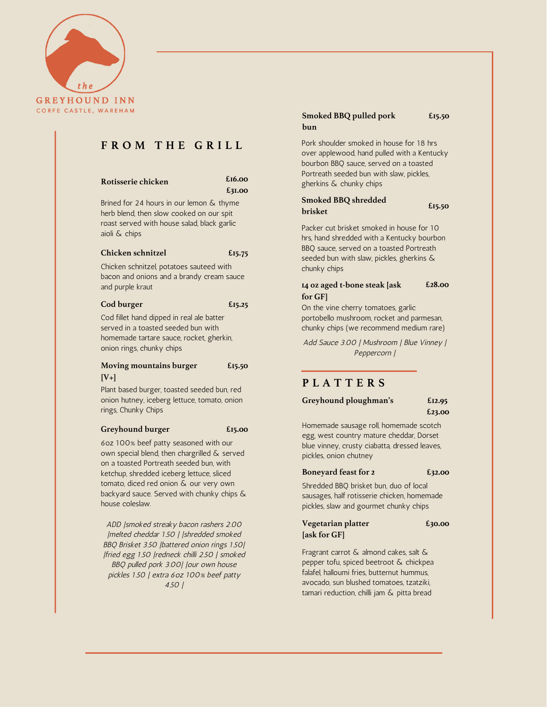

# **F R O M T H E G R I L L**

## **Rotisserie chicken**

**£16.00 £31.00**

Brined for 24 hours in our lemon & thyme herb blend, then slow cooked on our spit roast served with house salad, black garlic aioli & chips

# **Chicken [schnitzel](https://www.foodnetwork.com/recipes/chicken-schnitzel-7515517)**

**£15.75**

Chicken schnitzel, potatoes sauteed with bacon and onions and a brandy cream sauce and purple kraut

### **Cod burger £15.25**

Cod fillet hand dipped in real ale batter served in a toasted seeded bun with homemade tartare sauce, rocket, gherkin, onion rings, chunky chips

### **Moving mountains burger [V+] £15.50**

Plant based burger, toasted seeded bun, red onion hutney, iceberg lettuce, tomato, onion rings, Chunky Chips

### **Greyhound burger £15.00**

6oz 100% beef patty seasoned with our own special blend, then chargrilled & served on a toasted Portreath seeded bun, with ketchup, shredded iceberg lettuce, sliced tomato, diced red onion & our very own backyard sauce. Served with chunky chips & house coleslaw.

ADD |smoked streaky bacon rashers 2.00 |melted cheddar 1.50 | |shredded smoked BBQ Brisket 3.50 |battered onion rings 1.50| |fried egg 1.50 |redneck chilli 2.50 | smoked BBQ pulled pork 3.00| |our own house pickles 1.50 | extra 6oz 100% beef patty 4.50 |

### **Smoked BBQ pulled pork bun £15.50**

Pork shoulder smoked in house for 18 hrs over applewood, hand pulled with a Kentucky bourbon BBQ sauce, served on a toasted Portreath seeded bun with slaw, pickles, gherkins & chunky chips

# **Smoked BBQ shredded brisket**

Packer cut brisket smoked in house for 10 hrs, hand shredded with a Kentucky bourbon BBQ sauce, served on a toasted Portreath seeded bun with slaw, pickles, gherkins & chunky chips

### **14 oz aged t-bone steak [ask for GF] £28.00**

On the vine cherry tomatoes, garlic portobello mushroom, rocket and parmesan, chunky chips (we recommend medium rare)

Add Sauce 3.00 | Mushroom | Blue Vinney | Peppercorn |

# **P L A T T E R S**

**Greyhound ploughman's**

**£12.95 £23.00**

**£15.50**

Homemade sausage roll, homemade scotch egg, west country mature cheddar, Dorset blue vinney, crusty ciabatta, dressed leaves, pickles, onion chutney

## **[Boneyard](https://www.foodnetwork.com/recipes/chicken-schnitzel-7515517) feast for 2**

**£32.00**

Shredded BBQ brisket bun, duo of local sausages, half rotisserie chicken, homemade pickles, slaw and gourmet chunky chips

### **Vegetarian platter [ask for GF] £30.00**

Fragrant carrot & almond cakes, salt & pepper tofu, spiced beetroot & chickpea falafel, halloumi fries, butternut hummus, avocado, sun blushed tomatoes, tzatziki, tamari reduction, chilli jam & pitta bread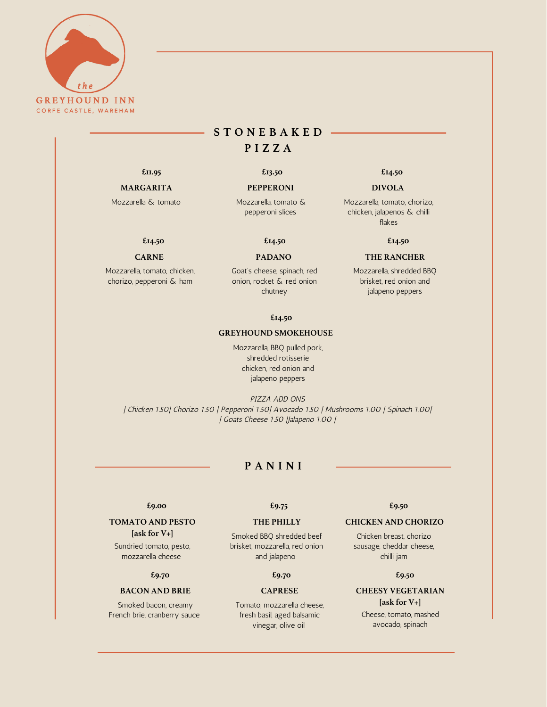

# **S T O N E B A K E D P I Z Z A**

### **MARGARITA PEPPERONI DIVOLA**

Mozzarella & tomato Mozzarella, tomato & pepperoni slices

# **£14.50 £14.50**

# **CARNE PADANO**

Mozzarella, tomato, chicken, chorizo, pepperoni & ham

Goat's cheese, spinach, red onion, rocket & red onion chutney

### **£14.50**

### **GREYHOUND SMOKEHOUSE**

Mozzarella, BBQ pulled pork, shredded rotisserie chicken, red onion and jalapeno peppers

PIZZA ADD ONS | Chicken 1.50| Chorizo 1.50 | Pepperoni 1.50| Avocado 1.50 | Mushrooms 1.00 | Spinach 1.00| | Goats Cheese 1.50 |Jalapeno 1.00 |

# **P A N I N I**

# **TOMATO AND PESTO**

**[ask for V+]**

Sundried tomato, pesto, mozzarella cheese

## **£9.70 £9.70**

### **BACON AND BRIE CAPRESE**

Smoked bacon, creamy French brie, cranberry sauce

Smoked BBQ shredded beef brisket, mozzarella, red onion and jalapeno

Tomato, mozzarella cheese, fresh basil, aged balsamic vinegar, olive oil

### **£9.00 £9.75 £9.50**

# **THE PHILLY CHICKEN AND CHORIZO**

Chicken breast, chorizo sausage, cheddar cheese, chilli jam

## **£9.50**

# **CHEESY VEGETARIAN**

**[ask for V+]** Cheese, tomato, mashed avocado, spinach

# **£11.95 £13.50 £14.50**

Mozzarella, tomato, chorizo, chicken, jalapenos & chilli flakes

**£14.50**

# **THE RANCHER**

Mozzarella, shredded BBQ brisket, red onion and jalapeno peppers